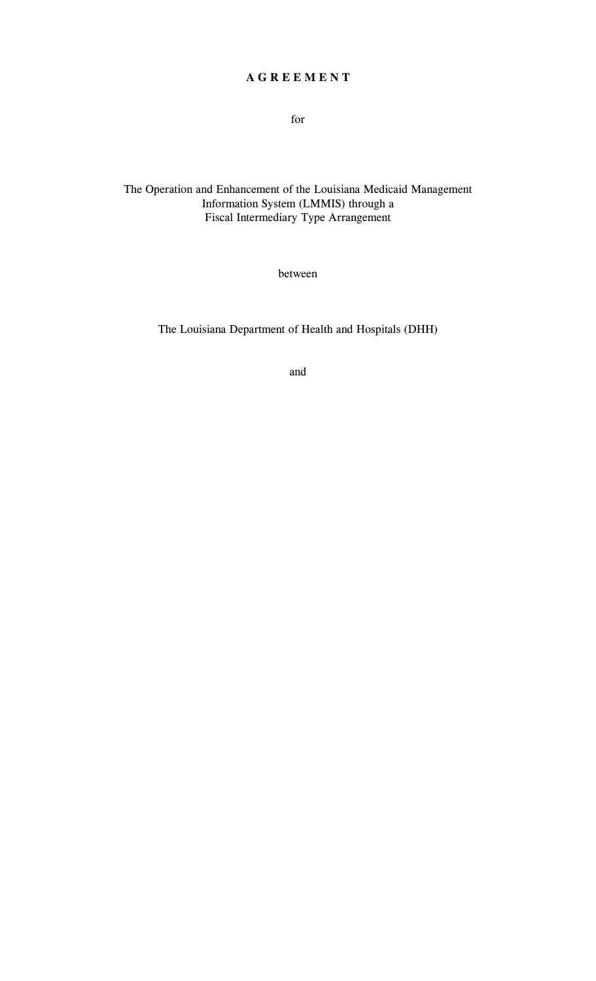# **A G R E E M E N T**

for

# The Operation and Enhancement of the Louisiana Medicaid Management Information System (LMMIS) through a Fiscal Intermediary Type Arrangement

between

The Louisiana Department of Health and Hospitals (DHH)

and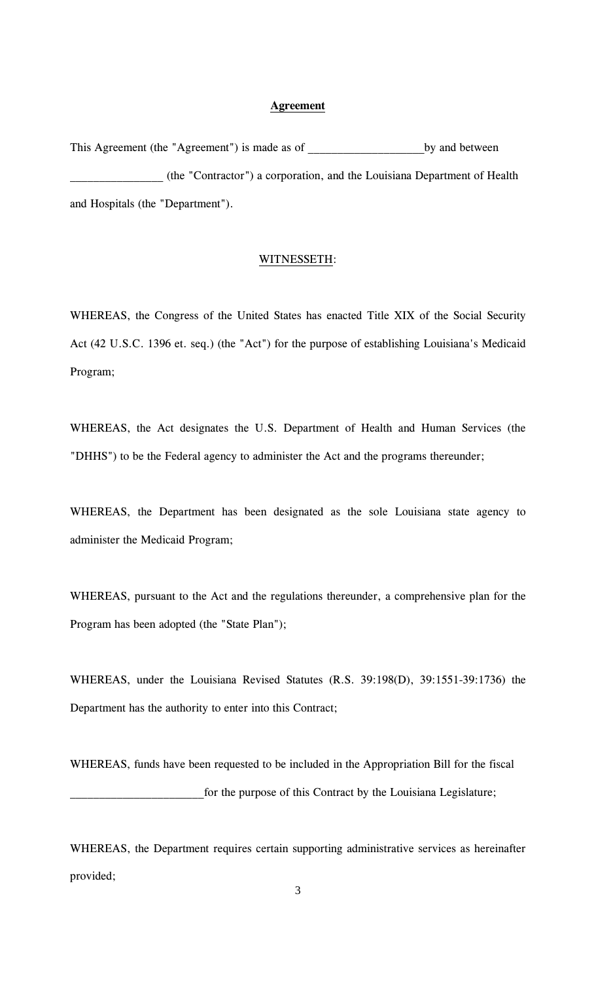## **Agreement**

This Agreement (the "Agreement") is made as of by and between \_\_\_\_\_\_\_\_\_\_\_\_\_\_\_\_ (the "Contractor") a corporation, and the Louisiana Department of Health and Hospitals (the "Department").

#### WITNESSETH :

WHEREAS, the Congress of the United States has enacted Title XIX of the Social Security Act (42 U.S.C. 1396 et. seq.) (the "Act") for the purpose of establishing Louisiana's Medicaid Program;

WHEREAS, the Act designates the U.S. Department of Health and Human Services (the "DHHS") to be the Federal agency to administer the Act and the programs thereunder;

WHEREAS, the Department has been designated as the sole Louisiana state agency to administer the Medicaid Program;

WHEREAS, pursuant to the Act and the regulations thereunder, a comprehensive plan for the Program has been adopted (the "State Plan");

WHEREAS, under the Louisiana Revised Statutes (R.S. 39:198(D), 39:1551-39:1736) the Department has the authority to enter into this Contract;

WHEREAS, funds have been requested to be included in the Appropriation Bill for the fiscal \_\_\_\_\_\_\_\_\_\_\_\_\_\_\_\_\_\_\_\_\_\_\_for the purpose of this Contract by the Louisiana Legislature;

WHEREAS, the Department requires certain supporting administrative services as hereinafter provided;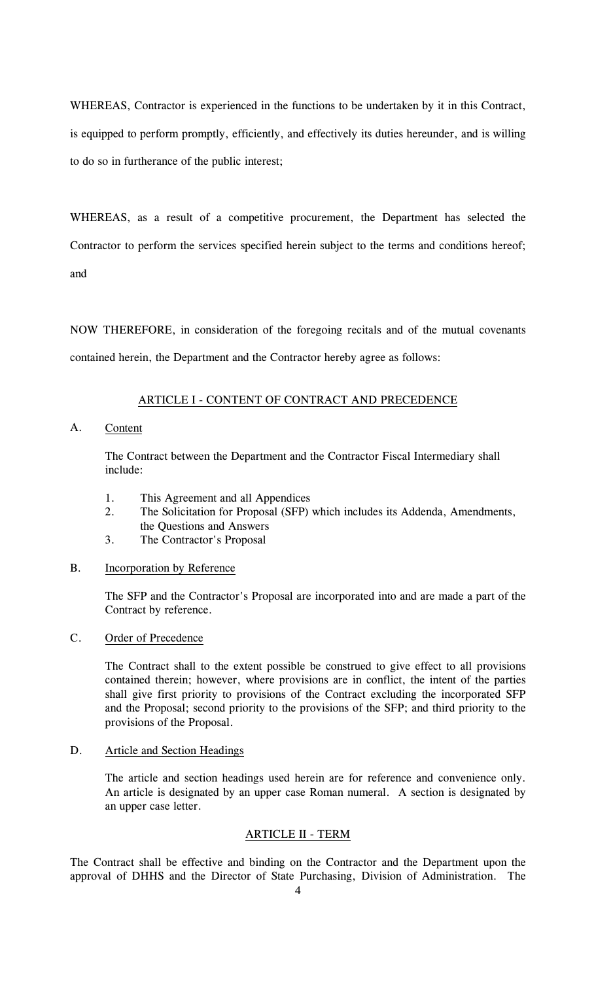WHEREAS, Contractor is experienced in the functions to be undertaken by it in this Contract, is equipped to perform promptly, efficiently, and effectively its duties hereunder, and is willing to do so in furtherance of the public interest;

WHEREAS, as a result of a competitive procurement, the Department has selected the Contractor to perform the services specified herein subject to the terms and conditions hereof; and

NOW THEREFORE, in consideration of the foregoing recitals and of the mutual covenants contained herein, the Department and the Contractor hereby agree as follows:

## ARTICLE I - CONTENT OF CONTRACT AND PRECEDENCE

A. Content

The Contract between the Department and the Contractor Fiscal Intermediary shall include:

- 1. This Agreement and all Appendices
- 2. The Solicitation for Proposal (SFP) which includes its Addenda, Amendments, the Questions and Answers
- 3. The Contractor's Proposal

# B. Incorporation by Reference

The SFP and the Contractor's Proposal are incorporated into and are made a part of the Contract by reference.

# C. Order of Precedence

The Contract shall to the extent possible be construed to give effect to all provisions contained therein; however, where provisions are in conflict, the intent of the parties shall give first priority to provisions of the Contract excluding the incorporated SFP and the Proposal; second priority to the provisions of the SFP; and third priority to the provisions of the Proposal.

# D. Article and Section Headings

The article and section headings used herein are for reference and convenience only. An article is designated by an upper case Roman numeral. A section is designated by an upper case letter.

# ARTICLE II - TERM

The Contract shall be effective and binding on the Contractor and the Department upon the approval of DHHS and the Director of State Purchasing, Division of Administration. The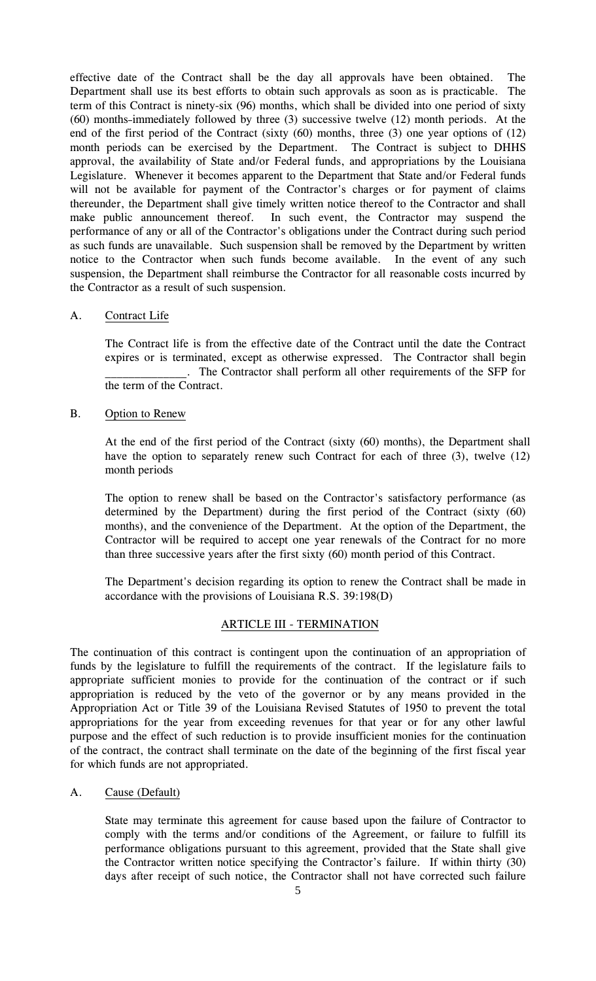effective date of the Contract shall be the day all approvals have been obtained. The Department shall use its best efforts to obtain such approvals as soon as is practicable. The term of this Contract is ninety-six (96) months, which shall be divided into one period of sixty (60) months immediately followed by three (3) successive twelve (12) month periods. At the end of the first period of the Contract (sixty (60) months, three (3) one year options of (12) month periods can be exercised by the Department. The Contract is subject to DHHS approval, the availability of State and/or Federal funds, and appropriations by the Louisiana Legislature. Whenever it becomes apparent to the Department that State and/or Federal funds will not be available for payment of the Contractor's charges or for payment of claims thereunder, the Department shall give timely written notice thereof to the Contractor and shall make public announcement thereof. In such event, the Contractor may suspend the performance of any or all of the Contractor's obligations under the Contract during such period as such funds are unavailable. Such suspension shall be removed by the Department by written notice to the Contractor when such funds become available. In the event of any such suspension, the Department shall reimburse the Contractor for all reasonable costs incurred by the Contractor as a result of such suspension.

# A. Contract Life

The Contract life is from the effective date of the Contract until the date the Contract expires or is terminated, except as otherwise expressed. The Contractor shall begin \_\_\_\_\_\_\_\_\_\_\_\_\_\_. The Contractor shall perform all other requirements of the SFP for the term of the Contract.

B. Option to Renew

At the end of the first period of the Contract (sixty (60) months), the Department shall have the option to separately renew such Contract for each of three (3), twelve (12) month periods

The option to renew shall be based on the Contractor's satisfactory performance (as determined by the Department) during the first period of the Contract (sixty (60) months), and the convenience of the Department. At the option of the Department, the Contractor will be required to accept one year renewals of the Contract for no more than three successive years after the first sixty (60) month period of this Contract.

The Department's decision regarding its option to renew the Contract shall be made in accordance with the provisions of Louisiana R.S. 39:198(D)

# ARTICLE III - TERMINATION

The continuation of this contract is contingent upon the continuation of an appropriation of funds by the legislature to fulfill the requirements of the contract. If the legislature fails to appropriate sufficient monies to provide for the continuation of the contract or if such appropriation is reduced by the veto of the governor or by any means provided in the Appropriation Act or Title 39 of the Louisiana Revised Statutes of 1950 to prevent the total appropriations for the year from exceeding revenues for that year or for any other lawful purpose and the effect of such reduction is to provide insufficient monies for the continuation of the contract, the contract shall terminate on the date of the beginning of the first fiscal year for which funds are not appropriated.

#### A. Cause (Default)

State may terminate this agreement for cause based upon the failure of Contractor to comply with the terms and/or conditions of the Agreement, or failure to fulfill its performance obligations pursuant to this agreement, provided that the State shall give the Contractor written notice specifying the Contractor's failure. If within thirty (30) days after receipt of such notice, the Contractor shall not have corrected such failure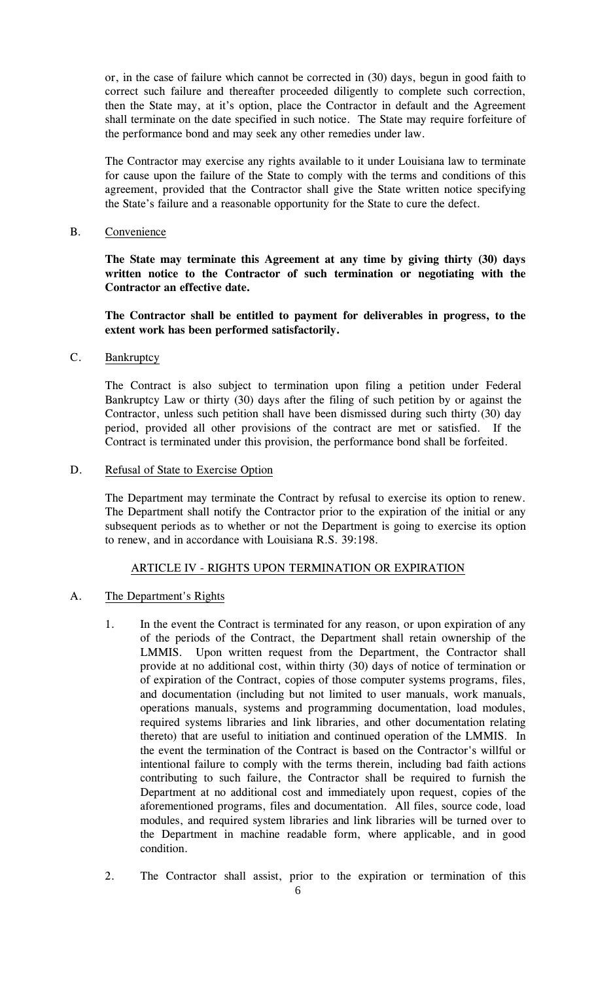or, in the case of failure which cannot be corrected in (30) days, begun in good faith to correct such failure and thereafter proceeded diligently to complete such correction, then the State may, at it's option, place the Contractor in default and the Agreement shall terminate on the date specified in such notice. The State may require forfeiture of the performance bond and may seek any other remedies under law.

The Contractor may exercise any rights available to it under Louisiana law to terminate for cause upon the failure of the State to comply with the terms and conditions of this agreement, provided that the Contractor shall give the State written notice specifying the State's failure and a reasonable opportunity for the State to cure the defect.

B. Convenience

**The State may terminate this Agreement at any time by giving thirty (30) days written notice to the Contractor of such termination or negotiating with the Contractor an effective date.**

**The Contractor shall be entitled to payment for deliverables in progress, to the extent work has been performed satisfactorily.**

C. Bankruptcy

The Contract is also subject to termination upon filing a petition under Federal Bankruptcy Law or thirty (30) days after the filing of such petition by or against the Contractor, unless such petition shall have been dismissed during such thirty (30) day period, provided all other provisions of the contract are met or satisfied. If the Contract is terminated under this provision, the performance bond shall be forfeited.

D. Refusal of State to Exercise Option

The Department may terminate the Contract by refusal to exercise its option to renew. The Department shall notify the Contractor prior to the expiration of the initial or any subsequent periods as to whether or not the Department is going to exercise its option to renew, and in accordance with Louisiana R.S. 39:198.

# ARTICLE IV - RIGHTS UPON TERMINATION OR EXPIRATION

#### A. The Department's Rights

- 1. In the event the Contract is terminated for any reason, or upon expiration of any of the periods of the Contract, the Department shall retain ownership of the LMMIS. Upon written request from the Department, the Contractor shall provide at no additional cost, within thirty (30) days of notice of termination or of expiration of the Contract, copies of those computer systems programs, files, and documentation (including but not limited to user manuals, work manuals, operations manuals, systems and programming documentation, load modules, required systems libraries and link libraries, and other documentation relating thereto) that are useful to initiation and continued operation of the LMMIS. In the event the termination of the Contract is based on the Contractor's willful or intentional failure to comply with the terms therein, including bad faith actions contributing to such failure, the Contractor shall be required to furnish the Department at no additional cost and immediately upon request, copies of the aforementioned programs, files and documentation. All files, source code, load modules, and required system libraries and link libraries will be turned over to the Department in machine readable form, where applicable, and in good condition.
- 2. The Contractor shall assist, prior to the expiration or termination of this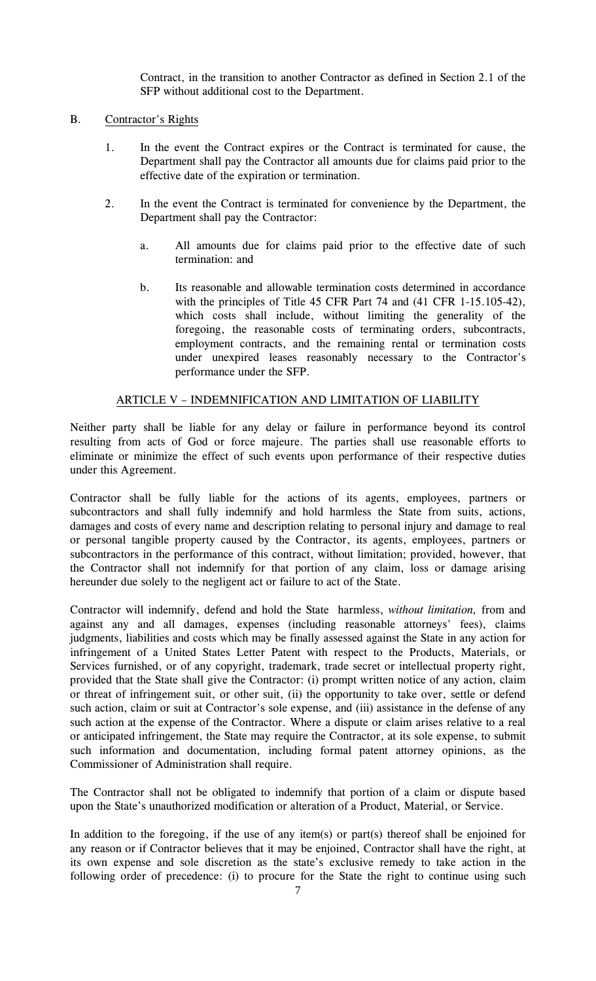Contract, in the transition to another Contractor as defined in Section 2.1 of the SFP without additional cost to the Department.

# B. Contractor's Rights

- 1. In the event the Contract expires or the Contract is terminated for cause, the Department shall pay the Contractor all amounts due for claims paid prior to the effective date of the expiration or termination.
- 2. In the event the Contract is terminated for convenience by the Department, the Department shall pay the Contractor:
	- a. All amounts due for claims paid prior to the effective date of such termination: and
	- b. Its reasonable and allowable termination costs determined in accordance with the principles of Title 45 CFR Part 74 and (41 CFR 1-15.105-42), which costs shall include, without limiting the generality of the foregoing, the reasonable costs of terminating orders, subcontracts, employment contracts, and the remaining rental or termination costs under unexpired leases reasonably necessary to the Contractor's performance under the SFP.

## ARTICLE V – INDEMNIFICATION AND LIMITATION OF LIABILITY

Neither party shall be liable for any delay or failure in performance beyond its control resulting from acts of God or force majeure. The parties shall use reasonable efforts to eliminate or minimize the effect of such events upon performance of their respective duties under this Agreement.

Contractor shall be fully liable for the actions of its agents, employees, partners or subcontractors and shall fully indemnify and hold harmless the State from suits, actions, damages and costs of every name and description relating to personal injury and damage to real or personal tangible property caused by the Contractor, its agents, employees, partners or subcontractors in the performance of this contract, without limitation; provided, however, that the Contractor shall not indemnify for that portion of any claim, loss or damage arising hereunder due solely to the negligent act or failure to act of the State.

Contractor will indemnify, defend and hold the State harmless, *without limitation,* from and against any and all damages, expenses (including reasonable attorneys' fees), claims judgments, liabilities and costs which may be finally assessed against the State in any action for infringement of a United States Letter Patent with respect to the Products, Materials, or Services furnished, or of any copyright, trademark, trade secret or intellectual property right, provided that the State shall give the Contractor: (i) prompt written notice of any action, claim or threat of infringement suit, or other suit, (ii) the opportunity to take over, settle or defend such action, claim or suit at Contractor's sole expense, and (iii) assistance in the defense of any such action at the expense of the Contractor. Where a dispute or claim arises relative to a real or anticipated infringement, the State may require the Contractor, at its sole expense, to submit such information and documentation, including formal patent attorney opinions, as the Commissioner of Administration shall require.

The Contractor shall not be obligated to indemnify that portion of a claim or dispute based upon the State's unauthorized modification or alteration of a Product, Material, or Service.

In addition to the foregoing, if the use of any item(s) or part(s) thereof shall be enjoined for any reason or if Contractor believes that it may be enjoined, Contractor shall have the right, at its own expense and sole discretion as the state's exclusive remedy to take action in the following order of precedence: (i) to procure for the State the right to continue using such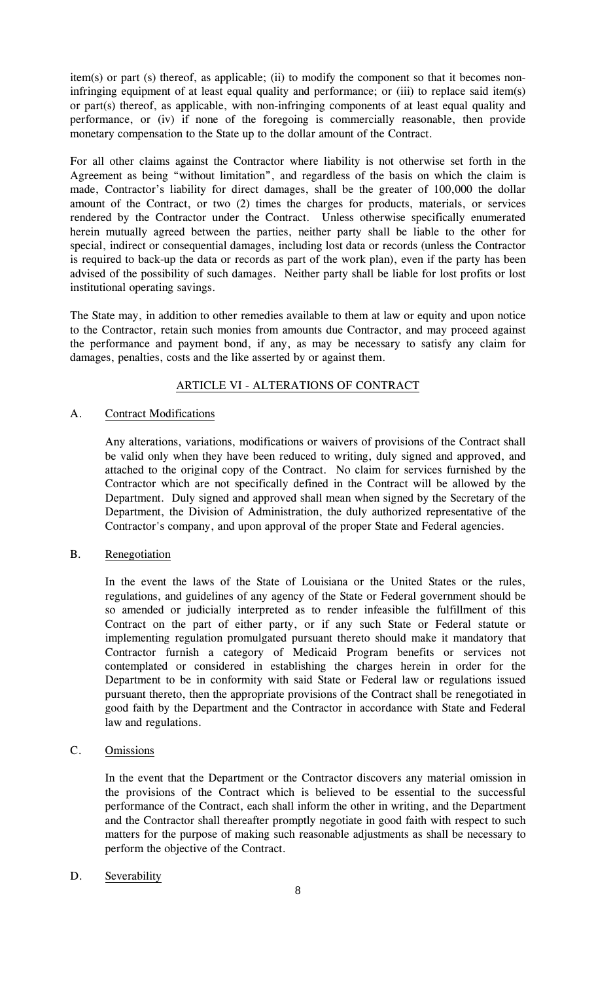item(s) or part (s) thereof, as applicable; (ii) to modify the component so that it becomes noninfringing equipment of at least equal quality and performance; or (iii) to replace said item(s) or part(s) thereof, as applicable, with non-infringing components of at least equal quality and performance, or (iv) if none of the foregoing is commercially reasonable, then provide monetary compensation to the State up to the dollar amount of the Contract.

For all other claims against the Contractor where liability is not otherwise set forth in the Agreement as being "without limitation", and regardless of the basis on which the claim is made, Contractor's liability for direct damages, shall be the greater of 100,000 the dollar amount of the Contract, or two (2) times the charges for products, materials, or services rendered by the Contractor under the Contract. Unless otherwise specifically enumerated herein mutually agreed between the parties, neither party shall be liable to the other for special, indirect or consequential damages, including lost data or records (unless the Contractor is required to back-up the data or records as part of the work plan), even if the party has been advised of the possibility of such damages. Neither party shall be liable for lost profits or lost institutional operating savings.

The State may, in addition to other remedies available to them at law or equity and upon notice to the Contractor, retain such monies from amounts due Contractor, and may proceed against the performance and payment bond, if any, as may be necessary to satisfy any claim for damages, penalties, costs and the like asserted by or against them.

# ARTICLE VI - ALTERATIONS OF CONTRACT

# A. Contract Modifications

Any alterations, variations, modifications or waivers of provisions of the Contract shall be valid only when they have been reduced to writing, duly signed and approved, and attached to the original copy of the Contract. No claim for services furnished by the Contractor which are not specifically defined in the Contract will be allowed by the Department. Duly signed and approved shall mean when signed by the Secretary of the Department, the Division of Administration, the duly authorized representative of the Contractor's company, and upon approval of the proper State and Federal agencies.

# B. Renegotiation

In the event the laws of the State of Louisiana or the United States or the rules, regulations, and guidelines of any agency of the State or Federal government should be so amended or judicially interpreted as to render infeasible the fulfillment of this Contract on the part of either party, or if any such State or Federal statute or implementing regulation promulgated pursuant thereto should make it mandatory that Contractor furnish a category of Medicaid Program benefits or services not contemplated or considered in establishing the charges herein in order for the Department to be in conformity with said State or Federal law or regulations issued pursuant thereto, then the appropriate provisions of the Contract shall be renegotiated in good faith by the Department and the Contractor in accordance with State and Federal law and regulations.

# C. Omissions

In the event that the Department or the Contractor discovers any material omission in the provisions of the Contract which is believed to be essential to the successful performance of the Contract, each shall inform the other in writing, and the Department and the Contractor shall thereafter promptly negotiate in good faith with respect to such matters for the purpose of making such reasonable adjustments as shall be necessary to perform the objective of the Contract.

# D. Severability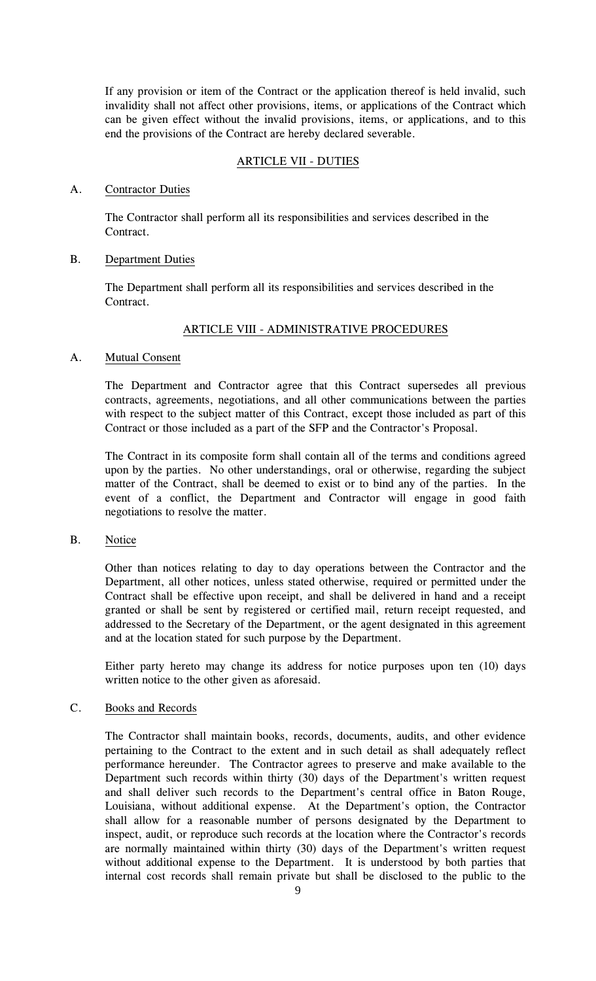If any provision or item of the Contract or the application thereof is held invalid, such invalidity shall not affect other provisions, items, or applications of the Contract which can be given effect without the invalid provisions, items, or applications, and to this end the provisions of the Contract are hereby declared severable.

# ARTICLE VII - DUTIES

## A. Contractor Duties

The Contractor shall perform all its responsibilities and services described in the Contract.

## B. Department Duties

The Department shall perform all its responsibilities and services described in the Contract.

## ARTICLE VIII - ADMINISTRATIVE PROCEDURES

## A. Mutual Consent

The Department and Contractor agree that this Contract supersedes all previous contracts, agreements, negotiations, and all other communications between the parties with respect to the subject matter of this Contract, except those included as part of this Contract or those included as a part of the SFP and the Contractor's Proposal.

The Contract in its composite form shall contain all of the terms and conditions agreed upon by the parties. No other understandings, oral or otherwise, regarding the subject matter of the Contract, shall be deemed to exist or to bind any of the parties. In the event of a conflict, the Department and Contractor will engage in good faith negotiations to resolve the matter.

## B. Notice

Other than notices relating to day to day operations between the Contractor and the Department, all other notices, unless stated otherwise, required or permitted under the Contract shall be effective upon receipt, and shall be delivered in hand and a receipt granted or shall be sent by registered or certified mail, return receipt requested, and addressed to the Secretary of the Department, or the agent designated in this agreement and at the location stated for such purpose by the Department.

Either party hereto may change its address for notice purposes upon ten (10) days written notice to the other given as aforesaid.

#### C. Books and Records

The Contractor shall maintain books, records, documents, audits, and other evidence pertaining to the Contract to the extent and in such detail as shall adequately reflect performance hereunder. The Contractor agrees to preserve and make available to the Department such records within thirty (30) days of the Department's written request and shall deliver such records to the Department's central office in Baton Rouge, Louisiana, without additional expense. At the Department's option, the Contractor shall allow for a reasonable number of persons designated by the Department to inspect, audit, or reproduce such records at the location where the Contractor's records are normally maintained within thirty (30) days of the Department's written request without additional expense to the Department. It is understood by both parties that internal cost records shall remain private but shall be disclosed to the public to the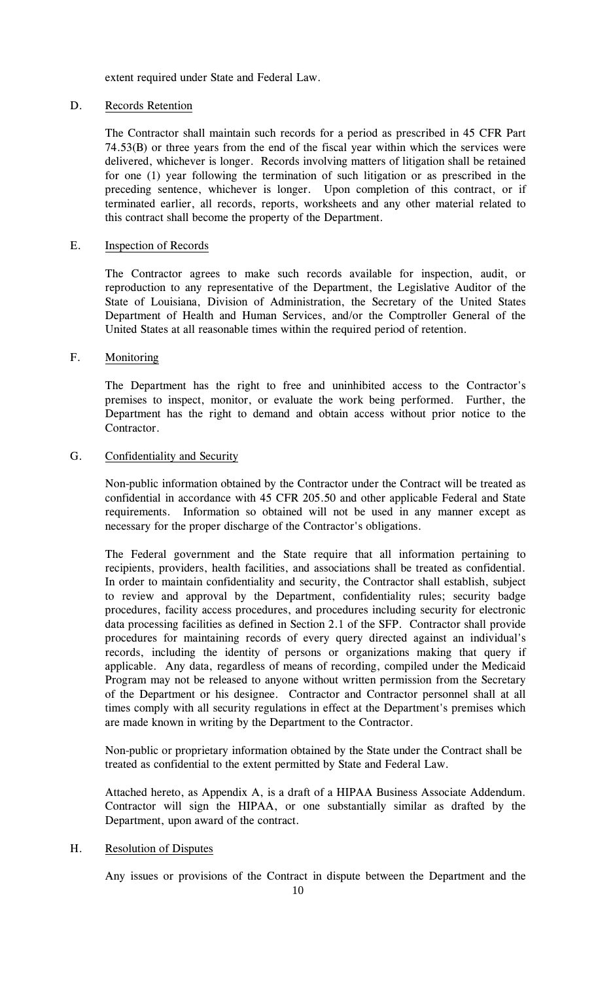extent required under State and Federal Law.

# D. Records Retention

The Contractor shall maintain such records for a period as prescribed in 45 CFR Part 74.53(B) or three years from the end of the fiscal year within which the services were delivered, whichever is longer. Records involving matters of litigation shall be retained for one (1) year following the termination of such litigation or as prescribed in the preceding sentence, whichever is longer. Upon completion of this contract, or if terminated earlier, all records, reports, worksheets and any other material related to this contract shall become the property of the Department.

## E. Inspection of Records

The Contractor agrees to make such records available for inspection, audit, or reproduction to any representative of the Department, the Legislative Auditor of the State of Louisiana, Division of Administration, the Secretary of the United States Department of Health and Human Services, and/or the Comptroller General of the United States at all reasonable times within the required period of retention.

## F. Monitoring

The Department has the right to free and uninhibited access to the Contractor's premises to inspect, monitor, or evaluate the work being performed. Further, the Department has the right to demand and obtain access without prior notice to the Contractor.

## G. Confidentiality and Security

Non-public information obtained by the Contractor under the Contract will be treated as confidential in accordance with 45 CFR 205.50 and other applicable Federal and State requirements. Information so obtained will not be used in any manner except as necessary for the proper discharge of the Contractor's obligations.

The Federal government and the State require that all information pertaining to recipients, providers, health facilities, and associations shall be treated as confidential. In order to maintain confidentiality and security, the Contractor shall establish, subject to review and approval by the Department, confidentiality rules; security badge procedures, facility access procedures, and procedures including security for electronic data processing facilities as defined in Section 2.1 of the SFP. Contractor shall provide procedures for maintaining records of every query directed against an individual's records, including the identity of persons or organizations making that query if applicable. Any data, regardless of means of recording, compiled under the Medicaid Program may not be released to anyone without written permission from the Secretary of the Department or his designee. Contractor and Contractor personnel shall at all times comply with all security regulations in effect at the Department's premises which are made known in writing by the Department to the Contractor.

Non-public or proprietary information obtained by the State under the Contract shall be treated as confidential to the extent permitted by State and Federal Law.

Attached hereto, as Appendix A, is a draft of a HIPAA Business Associate Addendum. Contractor will sign the HIPAA, or one substantially similar as drafted by the Department, upon award of the contract.

#### H. Resolution of Disputes

Any issues or provisions of the Contract in dispute between the Department and the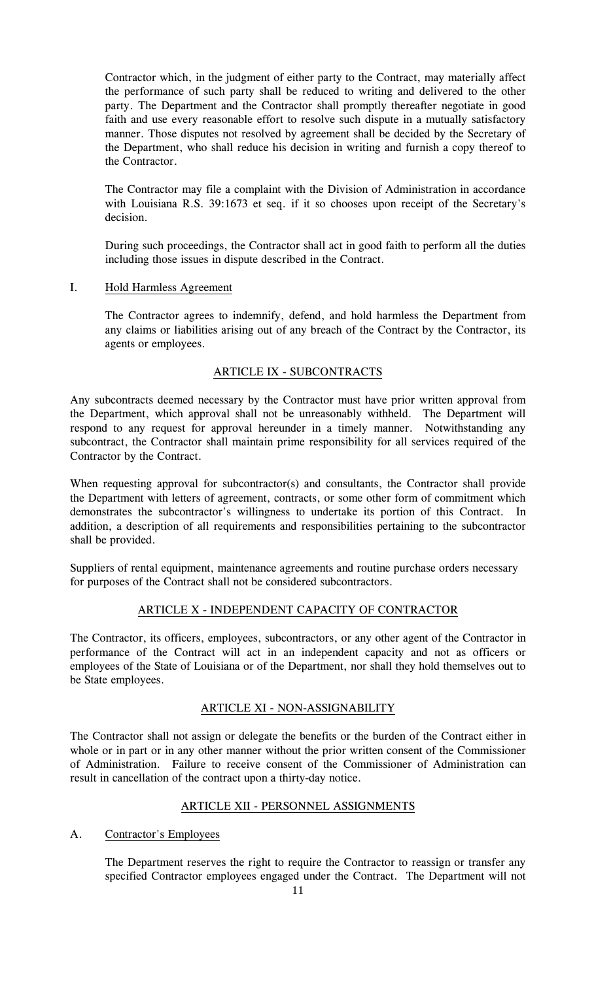Contractor which, in the judgment of either party to the Contract, may materially affect the performance of such party shall be reduced to writing and delivered to the other party. The Department and the Contractor shall promptly thereafter negotiate in good faith and use every reasonable effort to resolve such dispute in a mutually satisfactory manner. Those disputes not resolved by agreement shall be decided by the Secretary of the Department, who shall reduce his decision in writing and furnish a copy thereof to the Contractor.

The Contractor may file a complaint with the Division of Administration in accordance with Louisiana R.S. 39:1673 et seq. if it so chooses upon receipt of the Secretary's decision.

During such proceedings, the Contractor shall act in good faith to perform all the duties including those issues in dispute described in the Contract.

## I. Hold Harmless Agreement

The Contractor agrees to indemnify, defend, and hold harmless the Department from any claims or liabilities arising out of any breach of the Contract by the Contractor, its agents or employees.

# ARTICLE IX - SUBCONTRACTS

Any subcontracts deemed necessary by the Contractor must have prior written approval from the Department, which approval shall not be unreasonably withheld. The Department will respond to any request for approval hereunder in a timely manner. Notwithstanding any subcontract, the Contractor shall maintain prime responsibility for all services required of the Contractor by the Contract.

When requesting approval for subcontractor(s) and consultants, the Contractor shall provide the Department with letters of agreement, contracts, or some other form of commitment which demonstrates the subcontractor's willingness to undertake its portion of this Contract. In addition, a description of all requirements and responsibilities pertaining to the subcontractor shall be provided.

Suppliers of rental equipment, maintenance agreements and routine purchase orders necessary for purposes of the Contract shall not be considered subcontractors.

# ARTICLE X - INDEPENDENT CAPACITY OF CONTRACTOR

The Contractor, its officers, employees, subcontractors, or any other agent of the Contractor in performance of the Contract will act in an independent capacity and not as officers or employees of the State of Louisiana or of the Department, nor shall they hold themselves out to be State employees.

# ARTICLE XI - NON-ASSIGNABILITY

The Contractor shall not assign or delegate the benefits or the burden of the Contract either in whole or in part or in any other manner without the prior written consent of the Commissioner of Administration. Failure to receive consent of the Commissioner of Administration can result in cancellation of the contract upon a thirty-day notice.

# ARTICLE XII - PERSONNEL ASSIGNMENTS

#### A. Contractor's Employees

The Department reserves the right to require the Contractor to reassign or transfer any specified Contractor employees engaged under the Contract. The Department will not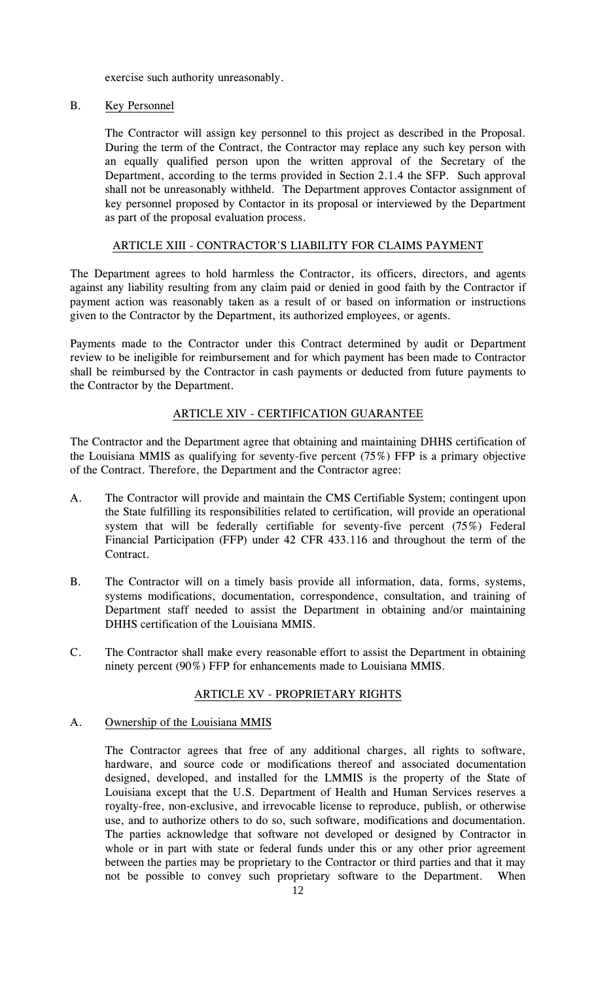exercise such authority unreasonably.

# B. Key Personnel

The Contractor will assign key personnel to this project as described in the Proposal. During the term of the Contract, the Contractor may replace any such key person with an equally qualified person upon the written approval of the Secretary of the Department, according to the terms provided in Section 2.1.4 the SFP. Such approval shall not be unreasonably withheld. The Department approves Contactor assignment of key personnel proposed by Contactor in its proposal or interviewed by the Department as part of the proposal evaluation process.

# ARTICLE XIII - CONTRACTOR'S LIABILITY FOR CLAIMS PAYMENT

The Department agrees to hold harmless the Contractor, its officers, directors, and agents against any liability resulting from any claim paid or denied in good faith by the Contractor if payment action was reasonably taken as a result of or based on information or instructions given to the Contractor by the Department, its authorized employees, or agents.

Payments made to the Contractor under this Contract determined by audit or Department review to be ineligible for reimbursement and for which payment has been made to Contractor shall be reimbursed by the Contractor in cash payments or deducted from future payments to the Contractor by the Department.

# ARTICLE XIV - CERTIFICATION GUARANTEE

The Contractor and the Department agree that obtaining and maintaining DHHS certification of the Louisiana MMIS as qualifying for seventy-five percent (75%) FFP is a primary objective of the Contract. Therefore, the Department and the Contractor agree:

- A. The Contractor will provide and maintain the CMS Certifiable System; contingent upon the State fulfilling its responsibilities related to certification, will provide an operational system that will be federally certifiable for seventy-five percent (75%) Federal Financial Participation (FFP) under 42 CFR 433.116 and throughout the term of the Contract.
- B. The Contractor will on a timely basis provide all information, data, forms, systems, systems modifications, documentation, correspondence, consultation, and training of Department staff needed to assist the Department in obtaining and/or maintaining DHHS certification of the Louisiana MMIS.
- C. The Contractor shall make every reasonable effort to assist the Department in obtaining ninety percent (90%) FFP for enhancements made to Louisiana MMIS.

# ARTICLE XV - PROPRIETARY RIGHTS

#### A. Ownership of the Louisiana MMIS

The Contractor agrees that free of any additional charges, all rights to software, hardware, and source code or modifications thereof and associated documentation designed, developed, and installed for the LMMIS is the property of the State of Louisiana except that the U.S. Department of Health and Human Services reserves a royalty-free, non-exclusive, and irrevocable license to reproduce, publish, or otherwise use, and to authorize others to do so, such software, modifications and documentation. The parties acknowledge that software not developed or designed by Contractor in whole or in part with state or federal funds under this or any other prior agreement between the parties may be proprietary to the Contractor or third parties and that it may not be possible to convey such proprietary software to the Department. When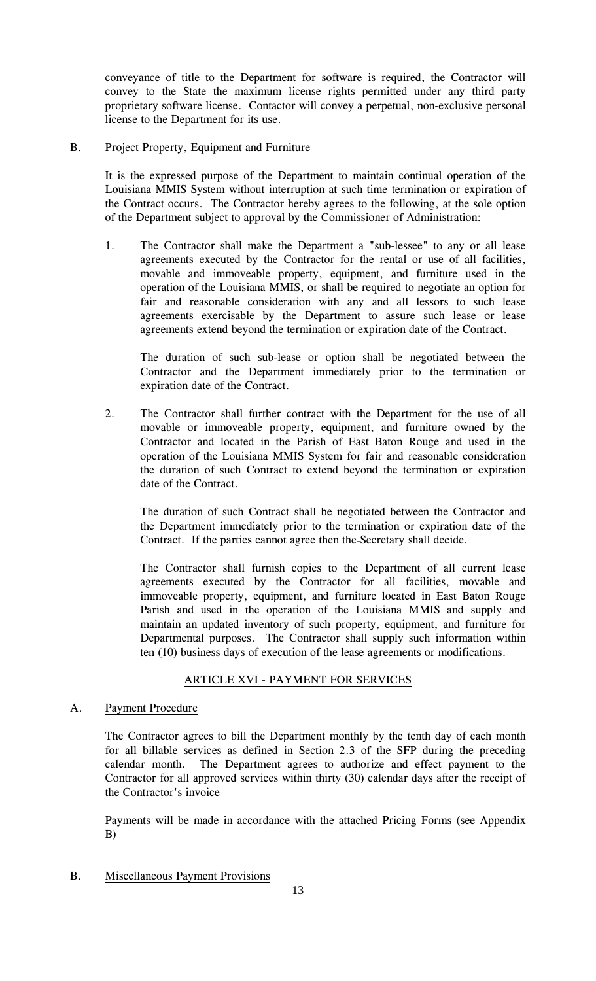conveyance of title to the Department for software is required, the Contractor will convey to the State the maximum license rights permitted under any third party proprietary software license. Contactor will convey a perpetual, non-exclusive personal license to the Department for its use.

## B. Project Property, Equipment and Furniture

It is the expressed purpose of the Department to maintain continual operation of the Louisiana MMIS System without interruption at such time termination or expiration of the Contract occurs. The Contractor hereby agrees to the following, at the sole option of the Department subject to approval by the Commissioner of Administration:

1. The Contractor shall make the Department a "sub-lessee" to any or all lease agreements executed by the Contractor for the rental or use of all facilities, movable and immoveable property, equipment, and furniture used in the operation of the Louisiana MMIS, or shall be required to negotiate an option for fair and reasonable consideration with any and all lessors to such lease agreements exercisable by the Department to assure such lease or lease agreements extend beyond the termination or expiration date of the Contract.

The duration of such sub-lease or option shall be negotiated between the Contractor and the Department immediately prior to the termination or expiration date of the Contract.

2. The Contractor shall further contract with the Department for the use of all movable or immoveable property, equipment, and furniture owned by the Contractor and located in the Parish of East Baton Rouge and used in the operation of the Louisiana MMIS System for fair and reasonable consideration the duration of such Contract to extend beyond the termination or expiration date of the Contract.

The duration of such Contract shall be negotiated between the Contractor and the Department immediately prior to the termination or expiration date of the Contract. If the parties cannot agree then the Secretary shall decide.

The Contractor shall furnish copies to the Department of all current lease agreements executed by the Contractor for all facilities, movable and immoveable property, equipment, and furniture located in East Baton Rouge Parish and used in the operation of the Louisiana MMIS and supply and maintain an updated inventory of such property, equipment, and furniture for Departmental purposes. The Contractor shall supply such information within ten (10) business days of execution of the lease agreements or modifications.

# ARTICLE XVI - PAYMENT FOR SERVICES

# A. Payment Procedure

The Contractor agrees to bill the Department monthly by the tenth day of each month for all billable services as defined in Section 2.3 of the SFP during the preceding calendar month. The Department agrees to authorize and effect payment to the Contractor for all approved services within thirty (30) calendar days after the receipt of the Contractor's invoice

Payments will be made in accordance with the attached Pricing Forms (see Appendix B)

B. Miscellaneous Payment Provisions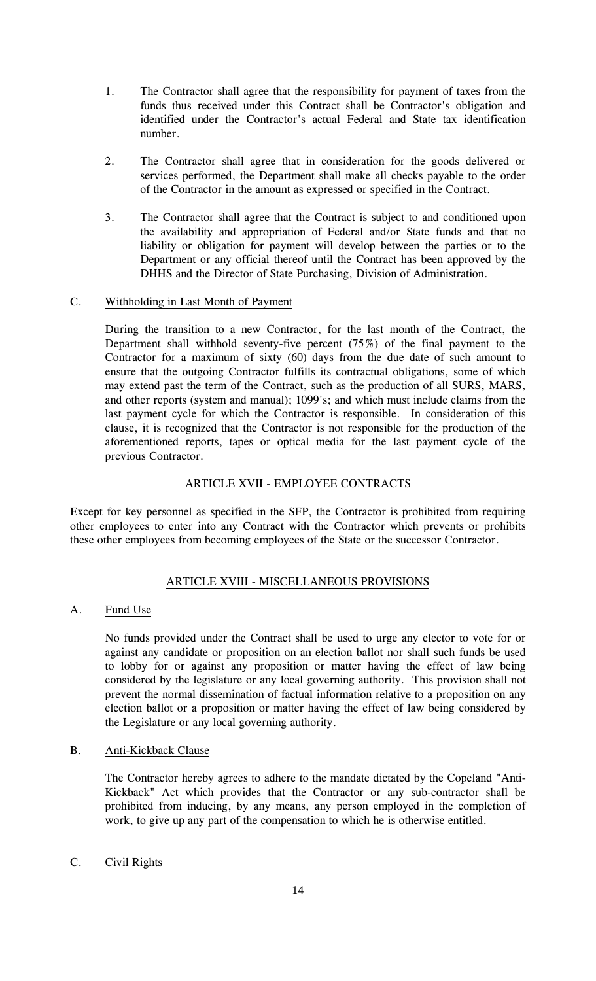- 1. The Contractor shall agree that the responsibility for payment of taxes from the funds thus received under this Contract shall be Contractor's obligation and identified under the Contractor's actual Federal and State tax identification number.
- 2. The Contractor shall agree that in consideration for the goods delivered or services performed, the Department shall make all checks payable to the order of the Contractor in the amount as expressed or specified in the Contract.
- 3. The Contractor shall agree that the Contract is subject to and conditioned upon the availability and appropriation of Federal and/or State funds and that no liability or obligation for payment will develop between the parties or to the Department or any official thereof until the Contract has been approved by the DHHS and the Director of State Purchasing, Division of Administration.

# C. Withholding in Last Month of Payment

During the transition to a new Contractor, for the last month of the Contract, the Department shall withhold seventy-five percent (75%) of the final payment to the Contractor for a maximum of sixty (60) days from the due date of such amount to ensure that the outgoing Contractor fulfills its contractual obligations, some of which may extend past the term of the Contract, such as the production of all SURS, MARS, and other reports (system and manual); 1099's; and which must include claims from the last payment cycle for which the Contractor is responsible. In consideration of this clause, it is recognized that the Contractor is not responsible for the production of the aforementioned reports, tapes or optical media for the last payment cycle of the previous Contractor.

# ARTICLE XVII - EMPLOYEE CONTRACTS

Except for key personnel as specified in the SFP, the Contractor is prohibited from requiring other employees to enter into any Contract with the Contractor which prevents or prohibits these other employees from becoming employees of the State or the successor Contractor.

# ARTICLE XVIII - MISCELLANEOUS PROVISIONS

# A. Fund Use

No funds provided under the Contract shall be used to urge any elector to vote for or against any candidate or proposition on an election ballot nor shall such funds be used to lobby for or against any proposition or matter having the effect of law being considered by the legislature or any local governing authority. This provision shall not prevent the normal dissemination of factual information relative to a proposition on any election ballot or a proposition or matter having the effect of law being considered by the Legislature or any local governing authority.

# B. Anti-Kickback Clause

The Contractor hereby agrees to adhere to the mandate dictated by the Copeland "Anti-Kickback" Act which provides that the Contractor or any sub-contractor shall be prohibited from inducing, by any means, any person employed in the completion of work, to give up any part of the compensation to which he is otherwise entitled.

# C. Civil Rights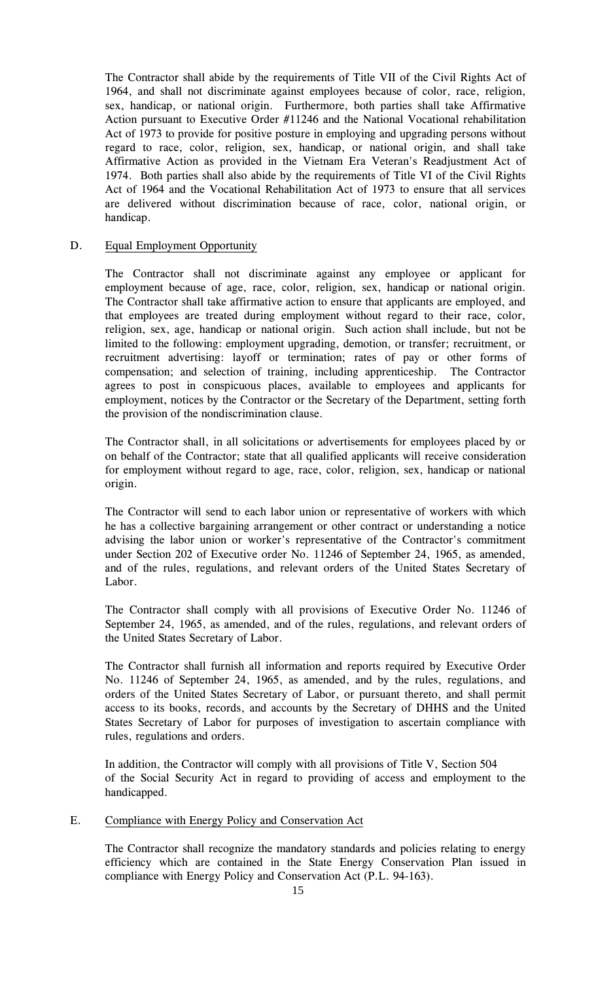The Contractor shall abide by the requirements of Title VII of the Civil Rights Act of 1964, and shall not discriminate against employees because of color, race, religion, sex, handicap, or national origin. Furthermore, both parties shall take Affirmative Action pursuant to Executive Order #11246 and the National Vocational rehabilitation Act of 1973 to provide for positive posture in employing and upgrading persons without regard to race, color, religion, sex, handicap, or national origin, and shall take Affirmative Action as provided in the Vietnam Era Veteran's Readjustment Act of 1974. Both parties shall also abide by the requirements of Title VI of the Civil Rights Act of 1964 and the Vocational Rehabilitation Act of 1973 to ensure that all services are delivered without discrimination because of race, color, national origin, or handicap.

## D. Equal Employment Opportunity

The Contractor shall not discriminate against any employee or applicant for employment because of age, race, color, religion, sex, handicap or national origin. The Contractor shall take affirmative action to ensure that applicants are employed, and that employees are treated during employment without regard to their race, color, religion, sex, age, handicap or national origin. Such action shall include, but not be limited to the following: employment upgrading, demotion, or transfer; recruitment, or recruitment advertising: layoff or termination; rates of pay or other forms of compensation; and selection of training, including apprenticeship. The Contractor agrees to post in conspicuous places, available to employees and applicants for employment, notices by the Contractor or the Secretary of the Department, setting forth the provision of the nondiscrimination clause.

The Contractor shall, in all solicitations or advertisements for employees placed by or on behalf of the Contractor; state that all qualified applicants will receive consideration for employment without regard to age, race, color, religion, sex, handicap or national origin.

The Contractor will send to each labor union or representative of workers with which he has a collective bargaining arrangement or other contract or understanding a notice advising the labor union or worker's representative of the Contractor's commitment under Section 202 of Executive order No. 11246 of September 24, 1965, as amended, and of the rules, regulations, and relevant orders of the United States Secretary of Labor.

The Contractor shall comply with all provisions of Executive Order No. 11246 of September 24, 1965, as amended, and of the rules, regulations, and relevant orders of the United States Secretary of Labor.

The Contractor shall furnish all information and reports required by Executive Order No. 11246 of September 24, 1965, as amended, and by the rules, regulations, and orders of the United States Secretary of Labor, or pursuant thereto, and shall permit access to its books, records, and accounts by the Secretary of DHHS and the United States Secretary of Labor for purposes of investigation to ascertain compliance with rules, regulations and orders.

In addition, the Contractor will comply with all provisions of Title V, Section 504 of the Social Security Act in regard to providing of access and employment to the handicapped.

#### E. Compliance with Energy Policy and Conservation Act

The Contractor shall recognize the mandatory standards and policies relating to energy efficiency which are contained in the State Energy Conservation Plan issued in compliance with Energy Policy and Conservation Act (P.L. 94-163).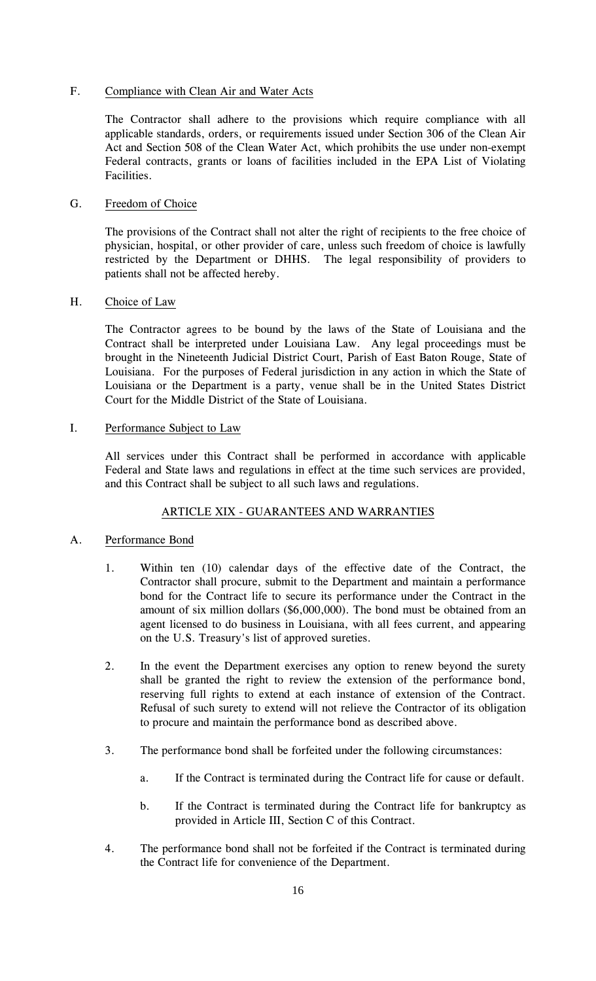## F. Compliance with Clean Air and Water Acts

The Contractor shall adhere to the provisions which require compliance with all applicable standards, orders, or requirements issued under Section 306 of the Clean Air Act and Section 508 of the Clean Water Act, which prohibits the use under non-exempt Federal contracts, grants or loans of facilities included in the EPA List of Violating Facilities.

## G. Freedom of Choice

The provisions of the Contract shall not alter the right of recipients to the free choice of physician, hospital, or other provider of care, unless such freedom of choice is lawfully restricted by the Department or DHHS. The legal responsibility of providers to patients shall not be affected hereby.

## H. Choice of Law

The Contractor agrees to be bound by the laws of the State of Louisiana and the Contract shall be interpreted under Louisiana Law. Any legal proceedings must be brought in the Nineteenth Judicial District Court, Parish of East Baton Rouge, State of Louisiana. For the purposes of Federal jurisdiction in any action in which the State of Louisiana or the Department is a party, venue shall be in the United States District Court for the Middle District of the State of Louisiana.

# I. Performance Subject to Law

All services under this Contract shall be performed in accordance with applicable Federal and State laws and regulations in effect at the time such services are provided, and this Contract shall be subject to all such laws and regulations.

# ARTICLE XIX - GUARANTEES AND WARRANTIES

# A. Performance Bond

- 1. Within ten (10) calendar days of the effective date of the Contract, the Contractor shall procure, submit to the Department and maintain a performance bond for the Contract life to secure its performance under the Contract in the amount of six million dollars (\$6,000,000). The bond must be obtained from an agent licensed to do business in Louisiana, with all fees current, and appearing on the U.S. Treasury's list of approved sureties.
- 2. In the event the Department exercises any option to renew beyond the surety shall be granted the right to review the extension of the performance bond, reserving full rights to extend at each instance of extension of the Contract. Refusal of such surety to extend will not relieve the Contractor of its obligation to procure and maintain the performance bond as described above.
- 3. The performance bond shall be forfeited under the following circumstances:
	- a. If the Contract is terminated during the Contract life for cause or default.
	- b. If the Contract is terminated during the Contract life for bankruptcy as provided in Article III, Section C of this Contract.
- 4. The performance bond shall not be forfeited if the Contract is terminated during the Contract life for convenience of the Department.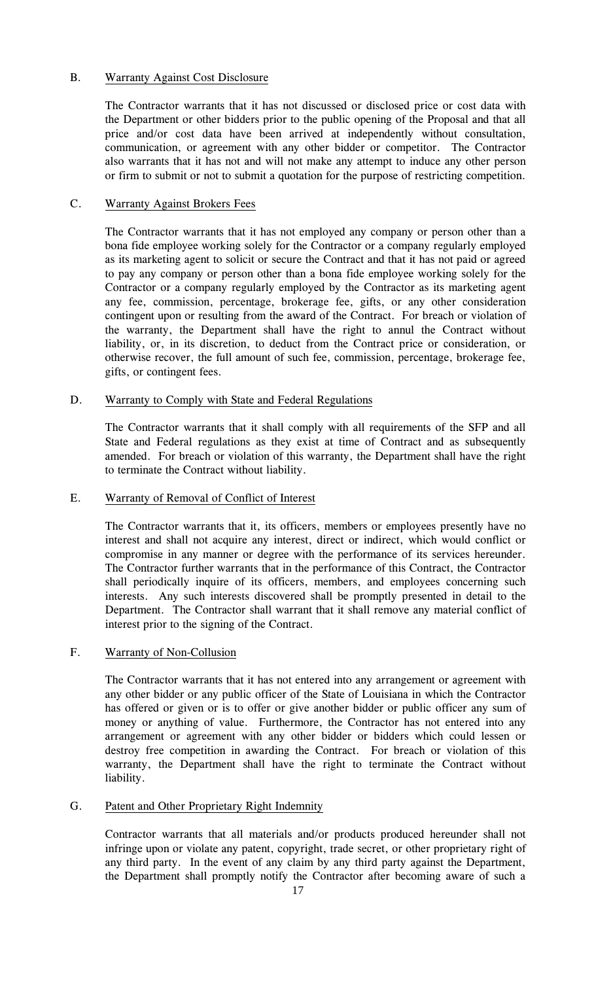# B. Warranty Against Cost Disclosure

The Contractor warrants that it has not discussed or disclosed price or cost data with the Department or other bidders prior to the public opening of the Proposal and that all price and/or cost data have been arrived at independently without consultation, communication, or agreement with any other bidder or competitor. The Contractor also warrants that it has not and will not make any attempt to induce any other person or firm to submit or not to submit a quotation for the purpose of restricting competition.

## C. Warranty Against Brokers Fees

The Contractor warrants that it has not employed any company or person other than a bona fide employee working solely for the Contractor or a company regularly employed as its marketing agent to solicit or secure the Contract and that it has not paid or agreed to pay any company or person other than a bona fide employee working solely for the Contractor or a company regularly employed by the Contractor as its marketing agent any fee, commission, percentage, brokerage fee, gifts, or any other consideration contingent upon or resulting from the award of the Contract. For breach or violation of the warranty, the Department shall have the right to annul the Contract without liability, or, in its discretion, to deduct from the Contract price or consideration, or otherwise recover, the full amount of such fee, commission, percentage, brokerage fee, gifts, or contingent fees.

## D. Warranty to Comply with State and Federal Regulations

The Contractor warrants that it shall comply with all requirements of the SFP and all State and Federal regulations as they exist at time of Contract and as subsequently amended. For breach or violation of this warranty, the Department shall have the right to terminate the Contract without liability.

# E. Warranty of Removal of Conflict of Interest

The Contractor warrants that it, its officers, members or employees presently have no interest and shall not acquire any interest, direct or indirect, which would conflict or compromise in any manner or degree with the performance of its services hereunder. The Contractor further warrants that in the performance of this Contract, the Contractor shall periodically inquire of its officers, members, and employees concerning such interests. Any such interests discovered shall be promptly presented in detail to the Department. The Contractor shall warrant that it shall remove any material conflict of interest prior to the signing of the Contract.

# F. Warranty of Non-Collusion

The Contractor warrants that it has not entered into any arrangement or agreement with any other bidder or any public officer of the State of Louisiana in which the Contractor has offered or given or is to offer or give another bidder or public officer any sum of money or anything of value. Furthermore, the Contractor has not entered into any arrangement or agreement with any other bidder or bidders which could lessen or destroy free competition in awarding the Contract. For breach or violation of this warranty, the Department shall have the right to terminate the Contract without liability.

#### G. Patent and Other Proprietary Right Indemnity

Contractor warrants that all materials and/or products produced hereunder shall not infringe upon or violate any patent, copyright, trade secret, or other proprietary right of any third party. In the event of any claim by any third party against the Department, the Department shall promptly notify the Contractor after becoming aware of such a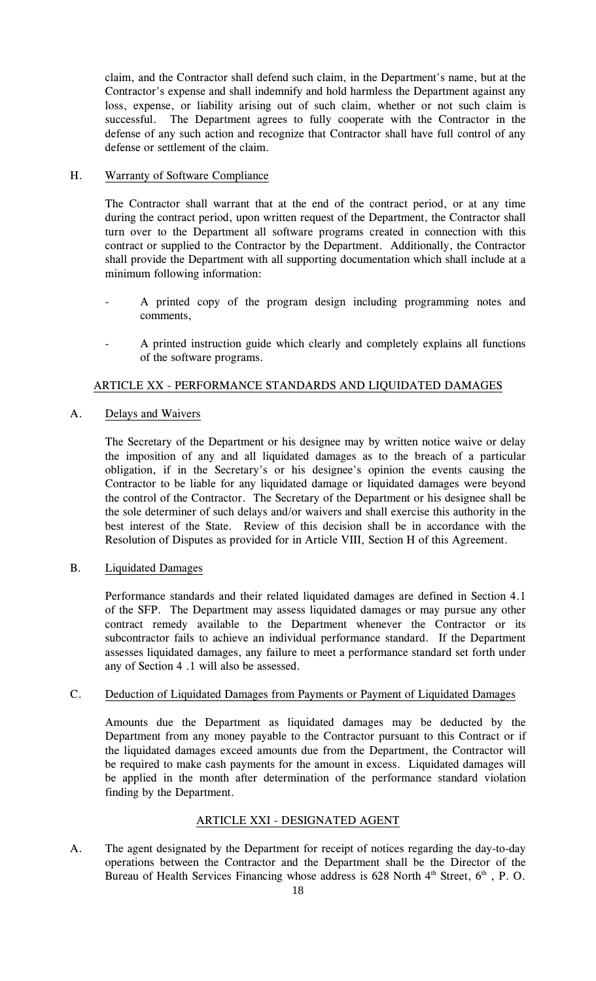claim, and the Contractor shall defend such claim, in the Department's name, but at the Contractor's expense and shall indemnify and hold harmless the Department against any loss, expense, or liability arising out of such claim, whether or not such claim is successful. The Department agrees to fully cooperate with the Contractor in the defense of any such action and recognize that Contractor shall have full control of any defense or settlement of the claim.

# H. Warranty of Software Compliance

The Contractor shall warrant that at the end of the contract period, or at any time during the contract period, upon written request of the Department, the Contractor shall turn over to the Department all software programs created in connection with this contract or supplied to the Contractor by the Department. Additionally, the Contractor shall provide the Department with all supporting documentation which shall include at a minimum following information:

- A printed copy of the program design including programming notes and comments,
- A printed instruction guide which clearly and completely explains all functions of the software programs.

# ARTICLE XX - PERFORMANCE STANDARDS AND LIQUIDATED DAMAGES

# A. Delays and Waivers

The Secretary of the Department or his designee may by written notice waive or delay the imposition of any and all liquidated damages as to the breach of a particular obligation, if in the Secretary's or his designee's opinion the events causing the Contractor to be liable for any liquidated damage or liquidated damages were beyond the control of the Contractor. The Secretary of the Department or his designee shall be the sole determiner of such delays and/or waivers and shall exercise this authority in the best interest of the State. Review of this decision shall be in accordance with the Resolution of Disputes as provided for in Article VIII, Section H of this Agreement.

# B. Liquidated Damages

Performance standards and their related liquidated damages are defined in Section 4.1 of the SFP. The Department may assess liquidated damages or may pursue any other contract remedy available to the Department whenever the Contractor or its subcontractor fails to achieve an individual performance standard. If the Department assesses liquidated damages, any failure to meet a performance standard set forth under any of Section 4 .1 will also be assessed.

#### C. Deduction of Liquidated Damages from Payments or Payment of Liquidated Damages

Amounts due the Department as liquidated damages may be deducted by the Department from any money payable to the Contractor pursuant to this Contract or if the liquidated damages exceed amounts due from the Department, the Contractor will be required to make cash payments for the amount in excess. Liquidated damages will be applied in the month after determination of the performance standard violation finding by the Department.

#### ARTICLE XXI - DESIGNATED AGENT

A. The agent designated by the Department for receipt of notices regarding the day-to-day operations between the Contractor and the Department shall be the Director of the Bureau of Health Services Financing whose address is  $628$  North  $4<sup>th</sup>$  Street,  $6<sup>th</sup>$ , P.O.